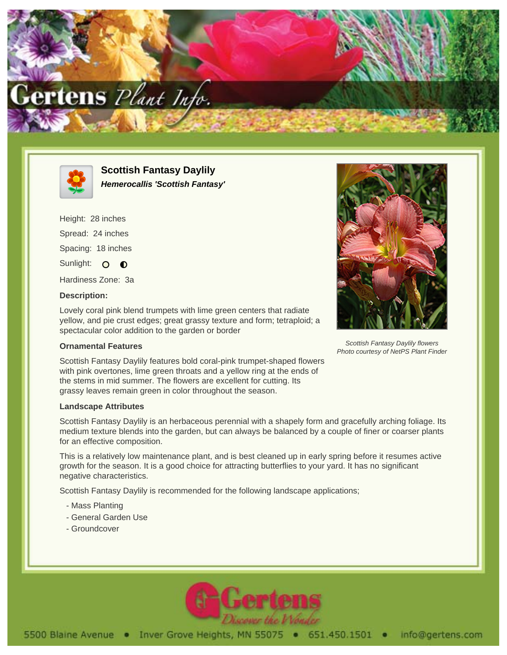



**Scottish Fantasy Daylily Hemerocallis 'Scottish Fantasy'**

Height: 28 inches Spread: 24 inches Spacing: 18 inches Sunlight: O  $\bullet$ Hardiness Zone: 3a

## **Description:**

Lovely coral pink blend trumpets with lime green centers that radiate yellow, and pie crust edges; great grassy texture and form; tetraploid; a spectacular color addition to the garden or border

## **Ornamental Features**

Scottish Fantasy Daylily features bold coral-pink trumpet-shaped flowers with pink overtones, lime green throats and a yellow ring at the ends of the stems in mid summer. The flowers are excellent for cutting. Its grassy leaves remain green in color throughout the season.

## **Landscape Attributes**

Scottish Fantasy Daylily is an herbaceous perennial with a shapely form and gracefully arching foliage. Its medium texture blends into the garden, but can always be balanced by a couple of finer or coarser plants for an effective composition.

This is a relatively low maintenance plant, and is best cleaned up in early spring before it resumes active growth for the season. It is a good choice for attracting butterflies to your yard. It has no significant negative characteristics.

Scottish Fantasy Daylily is recommended for the following landscape applications;

- Mass Planting
- General Garden Use
- Groundcover





Scottish Fantasy Daylily flowers Photo courtesy of NetPS Plant Finder